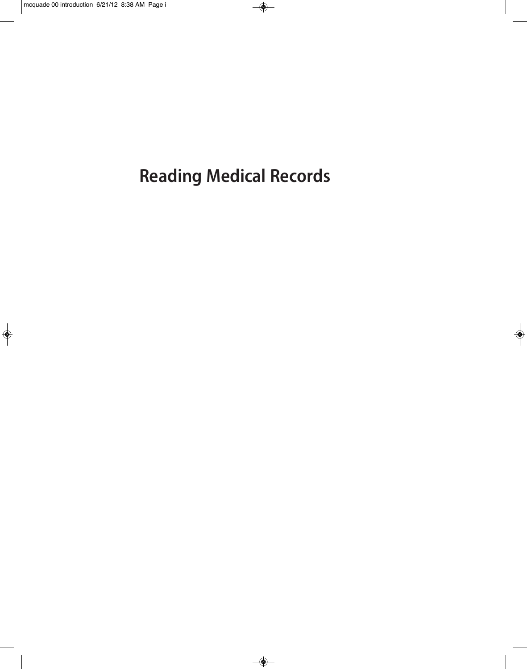**Reading Medical Records**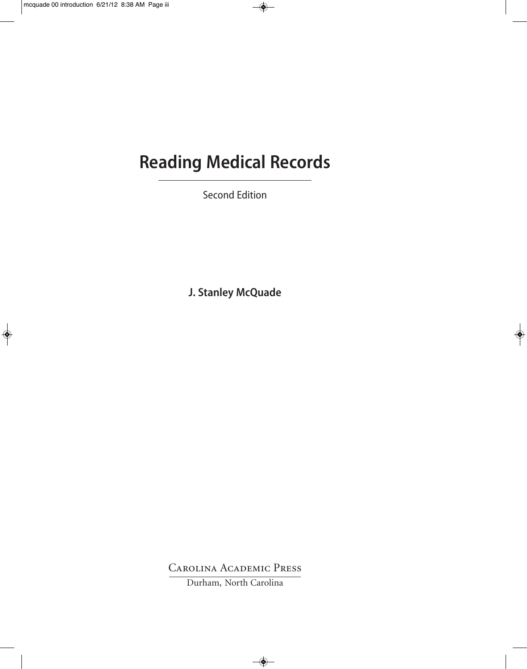# **Reading Medical Records**

Second Edition

**J. Stanley McQuade**

Carolina Academic Press

Durham, North Carolina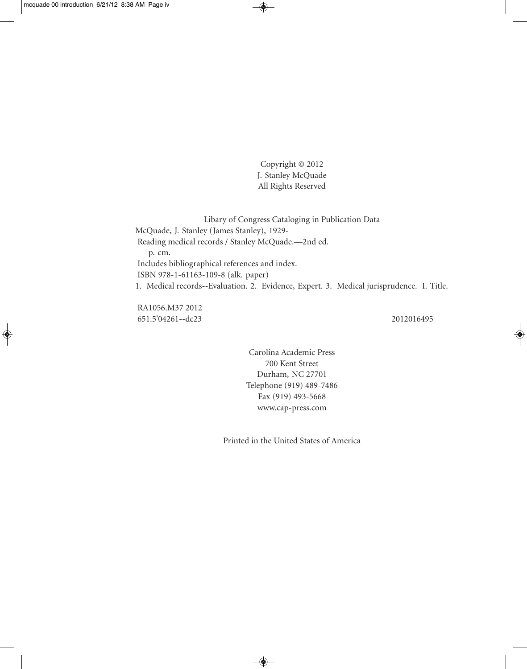Copyright © 2012 J. Stanley McQuade All Rights Reserved

Libary of Congress Cataloging in Publication Data McQuade, J. Stanley (James Stanley), 1929- Reading medical records / Stanley McQuade.—2nd ed. p. cm. Includes bibliographical references and index. ISBN 978-1-61163-109-8 (alk. paper) 1. Medical records--Evaluation. 2. Evidence, Expert. 3. Medical jurisprudence. I. Title.

RA1056.M37 2012 651.5'04261--dc23 2012016495

Carolina Academic Press 700 Kent Street Durham, NC 27701 Telephone (919) 489-7486 Fax (919) 493-5668 www.cap-press.com

Printed in the United States of America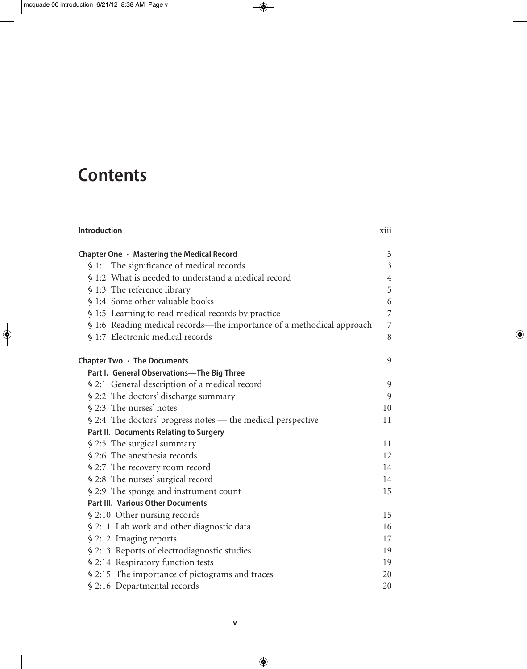## **Contents**

| Chapter One · Mastering the Medical Record                            | $\mathfrak{Z}$ |
|-----------------------------------------------------------------------|----------------|
| § 1:1 The significance of medical records                             | $\mathfrak{Z}$ |
| § 1:2 What is needed to understand a medical record                   | $\overline{4}$ |
| § 1:3 The reference library                                           | 5              |
| § 1:4 Some other valuable books                                       | 6              |
| § 1:5 Learning to read medical records by practice                    | $\overline{7}$ |
| § 1:6 Reading medical records—the importance of a methodical approach | 7              |
| § 1:7 Electronic medical records                                      | 8              |
| Chapter Two $\cdot$ The Documents                                     | 9              |
| Part I. General Observations-The Big Three                            |                |
| § 2:1 General description of a medical record                         | 9              |
| § 2:2 The doctors' discharge summary                                  | 9              |
| § 2:3 The nurses' notes                                               | 10             |
| § 2:4 The doctors' progress notes — the medical perspective           | 11             |
| Part II. Documents Relating to Surgery                                |                |
| § 2:5 The surgical summary                                            | 11             |
| § 2:6 The anesthesia records                                          | 12             |
| § 2:7 The recovery room record                                        | 14             |
| § 2:8 The nurses' surgical record                                     | 14             |
| § 2:9 The sponge and instrument count                                 | 15             |
| <b>Part III. Various Other Documents</b>                              |                |
| § 2:10 Other nursing records                                          | 15             |
| § 2:11 Lab work and other diagnostic data                             | 16             |
| § 2:12 Imaging reports                                                | 17             |
| § 2:13 Reports of electrodiagnostic studies                           | 19             |
| § 2:14 Respiratory function tests                                     | 19             |
| § 2:15 The importance of pictograms and traces                        | 20             |
| § 2:16 Departmental records                                           | 20             |

**Introduction** xiii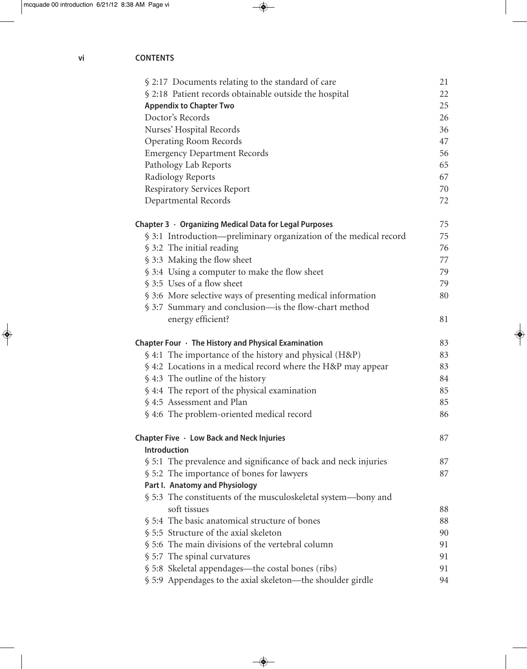| § 2:17 Documents relating to the standard of care                 | 21 |
|-------------------------------------------------------------------|----|
| § 2:18 Patient records obtainable outside the hospital            | 22 |
| <b>Appendix to Chapter Two</b>                                    | 25 |
| Doctor's Records                                                  | 26 |
| Nurses' Hospital Records                                          | 36 |
| <b>Operating Room Records</b>                                     | 47 |
| <b>Emergency Department Records</b>                               | 56 |
| Pathology Lab Reports                                             | 65 |
| Radiology Reports                                                 | 67 |
| <b>Respiratory Services Report</b>                                | 70 |
| Departmental Records                                              | 72 |
| Chapter $3 \cdot$ Organizing Medical Data for Legal Purposes      | 75 |
| § 3:1 Introduction—preliminary organization of the medical record | 75 |
| § 3:2 The initial reading                                         | 76 |
| § 3:3 Making the flow sheet                                       | 77 |
| § 3:4 Using a computer to make the flow sheet                     | 79 |
| § 3:5 Uses of a flow sheet                                        | 79 |
| § 3:6 More selective ways of presenting medical information       | 80 |
| § 3:7 Summary and conclusion—is the flow-chart method             |    |
| energy efficient?                                                 | 81 |
| Chapter Four $\cdot$ The History and Physical Examination         | 83 |
| § 4:1 The importance of the history and physical (H&P)            | 83 |
| § 4:2 Locations in a medical record where the H&P may appear      | 83 |
| § 4:3 The outline of the history                                  | 84 |
| \$4:4 The report of the physical examination                      | 85 |
| § 4:5 Assessment and Plan                                         | 85 |
| § 4:6 The problem-oriented medical record                         | 86 |
| Chapter Five $\cdot$ Low Back and Neck Injuries                   | 87 |
| <b>Introduction</b>                                               |    |
| § 5:1 The prevalence and significance of back and neck injuries   | 87 |
| § 5:2 The importance of bones for lawyers                         | 87 |
| Part I. Anatomy and Physiology                                    |    |
| § 5:3 The constituents of the musculoskeletal system—bony and     |    |
| soft tissues                                                      | 88 |
| § 5:4 The basic anatomical structure of bones                     | 88 |
| § 5:5 Structure of the axial skeleton                             | 90 |
| § 5:6 The main divisions of the vertebral column                  | 91 |
| § 5:7 The spinal curvatures                                       | 91 |
| § 5:8 Skeletal appendages—the costal bones (ribs)                 | 91 |
| § 5:9 Appendages to the axial skeleton—the shoulder girdle        | 94 |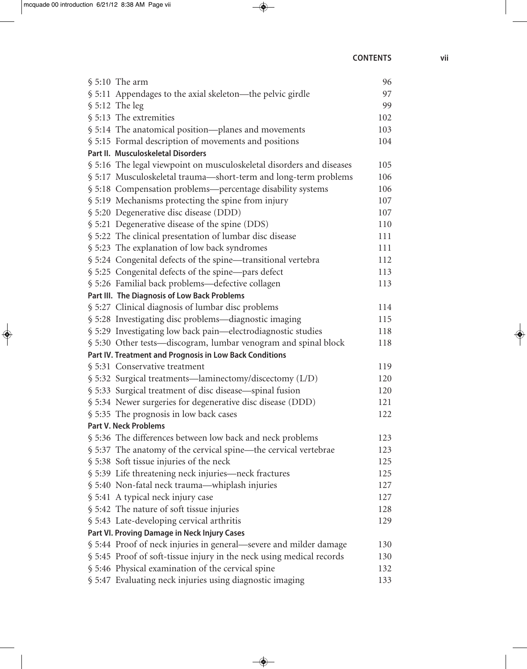| $$5:10$ The arm                                                      | 96  |
|----------------------------------------------------------------------|-----|
| § 5:11 Appendages to the axial skeleton—the pelvic girdle            | 97  |
| $$5:12$ The leg                                                      | 99  |
| § 5:13 The extremities                                               | 102 |
| § 5:14 The anatomical position—planes and movements                  | 103 |
| § 5:15 Formal description of movements and positions                 | 104 |
| Part II. Musculoskeletal Disorders                                   |     |
| § 5:16 The legal viewpoint on musculoskeletal disorders and diseases | 105 |
| § 5:17 Musculoskeletal trauma-short-term and long-term problems      | 106 |
| § 5:18 Compensation problems—percentage disability systems           | 106 |
| § 5:19 Mechanisms protecting the spine from injury                   | 107 |
| § 5:20 Degenerative disc disease (DDD)                               | 107 |
| § 5:21 Degenerative disease of the spine (DDS)                       | 110 |
| § 5:22 The clinical presentation of lumbar disc disease              | 111 |
| § 5:23 The explanation of low back syndromes                         | 111 |
| § 5:24 Congenital defects of the spine—transitional vertebra         | 112 |
| § 5:25 Congenital defects of the spine-pars defect                   | 113 |
| § 5:26 Familial back problems—defective collagen                     | 113 |
| Part III. The Diagnosis of Low Back Problems                         |     |
| § 5:27 Clinical diagnosis of lumbar disc problems                    | 114 |
| § 5:28 Investigating disc problems—diagnostic imaging                | 115 |
| § 5:29 Investigating low back pain—electrodiagnostic studies         | 118 |
| § 5:30 Other tests—discogram, lumbar venogram and spinal block       | 118 |
| Part IV. Treatment and Prognosis in Low Back Conditions              |     |
| § 5:31 Conservative treatment                                        | 119 |
| § 5:32 Surgical treatments—laminectomy/discectomy (L/D)              | 120 |
| § 5:33 Surgical treatment of disc disease—spinal fusion              | 120 |
| § 5:34 Newer surgeries for degenerative disc disease (DDD)           | 121 |
| § 5:35 The prognosis in low back cases                               | 122 |
| <b>Part V. Neck Problems</b>                                         |     |
| § 5:36 The differences between low back and neck problems            | 123 |
| § 5:37 The anatomy of the cervical spine—the cervical vertebrae      | 123 |
| § 5:38 Soft tissue injuries of the neck                              | 125 |
| § 5:39 Life threatening neck injuries—neck fractures                 | 125 |
| § 5:40 Non-fatal neck trauma—whiplash injuries                       | 127 |
| § 5:41 A typical neck injury case                                    | 127 |
| § 5:42 The nature of soft tissue injuries                            | 128 |
| § 5:43 Late-developing cervical arthritis                            | 129 |
| Part VI. Proving Damage in Neck Injury Cases                         |     |
| § 5:44 Proof of neck injuries in general—severe and milder damage    | 130 |
| § 5:45 Proof of soft-tissue injury in the neck using medical records | 130 |
| § 5:46 Physical examination of the cervical spine                    | 132 |
| § 5:47 Evaluating neck injuries using diagnostic imaging             | 133 |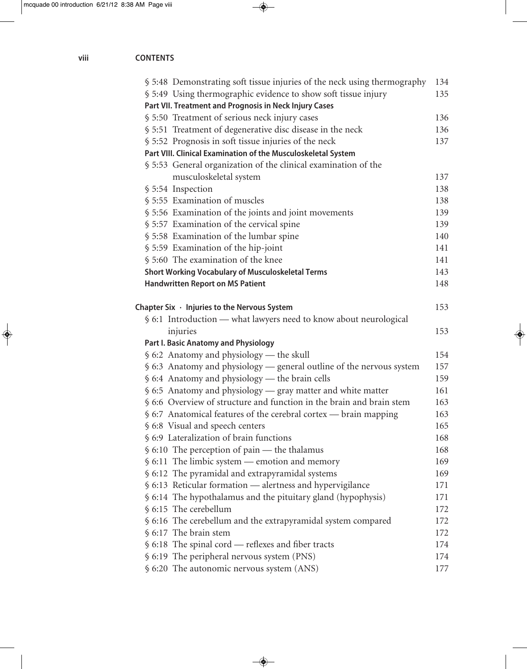| § 5:48 Demonstrating soft tissue injuries of the neck using thermography     | 134 |
|------------------------------------------------------------------------------|-----|
| § 5:49 Using thermographic evidence to show soft tissue injury               | 135 |
| Part VII. Treatment and Prognosis in Neck Injury Cases                       |     |
| § 5:50 Treatment of serious neck injury cases                                | 136 |
| § 5:51 Treatment of degenerative disc disease in the neck                    | 136 |
| § 5:52 Prognosis in soft tissue injuries of the neck                         | 137 |
| Part VIII. Clinical Examination of the Musculoskeletal System                |     |
| § 5:53 General organization of the clinical examination of the               |     |
| musculoskeletal system                                                       | 137 |
| § 5:54 Inspection                                                            | 138 |
| § 5:55 Examination of muscles                                                | 138 |
| § 5:56 Examination of the joints and joint movements                         | 139 |
| § 5:57 Examination of the cervical spine                                     | 139 |
| § 5:58 Examination of the lumbar spine                                       | 140 |
| § 5:59 Examination of the hip-joint                                          | 141 |
| § 5:60 The examination of the knee                                           | 141 |
| <b>Short Working Vocabulary of Musculoskeletal Terms</b>                     | 143 |
| <b>Handwritten Report on MS Patient</b>                                      | 148 |
|                                                                              |     |
| Chapter Six $\cdot$ Injuries to the Nervous System                           | 153 |
| § 6:1 Introduction — what lawyers need to know about neurological            |     |
| injuries                                                                     | 153 |
| Part I. Basic Anatomy and Physiology                                         |     |
| $$6:2$ Anatomy and physiology — the skull                                    | 154 |
| § 6:3 Anatomy and physiology — general outline of the nervous system         | 157 |
| § 6:4 Anatomy and physiology - the brain cells                               | 159 |
| § 6:5 Anatomy and physiology — gray matter and white matter                  | 161 |
| § 6:6 Overview of structure and function in the brain and brain stem         | 163 |
| $\frac{1}{2}$ 6:7 Anatomical features of the cerebral cortex — brain mapping | 163 |
| § 6:8 Visual and speech centers                                              | 165 |
| § 6:9 Lateralization of brain functions                                      | 168 |
| $\frac{1}{2}$ 6:10 The perception of pain — the thalamus                     | 168 |
| $$6:11$ The limbic system — emotion and memory                               | 169 |
| § 6:12 The pyramidal and extrapyramidal systems                              | 169 |
| § 6:13 Reticular formation - alertness and hypervigilance                    | 171 |
| § 6:14 The hypothalamus and the pituitary gland (hypophysis)                 | 171 |
| § 6:15 The cerebellum                                                        | 172 |
| § 6:16 The cerebellum and the extrapyramidal system compared                 | 172 |
| § 6:17 The brain stem                                                        | 172 |
| § 6:18 The spinal cord — reflexes and fiber tracts                           | 174 |
| § 6:19 The peripheral nervous system (PNS)                                   | 174 |
| § 6:20 The autonomic nervous system (ANS)                                    | 177 |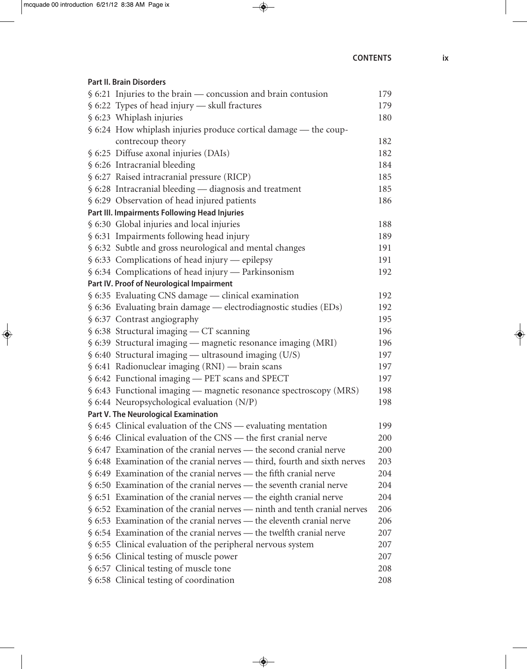#### **Part II. Brain Disorders**

| $\frac{1}{2}$ 6:21 Injuries to the brain — concussion and brain contusion             | 179 |
|---------------------------------------------------------------------------------------|-----|
| § 6:22 Types of head injury — skull fractures                                         | 179 |
| § 6:23 Whiplash injuries                                                              | 180 |
| § 6:24 How whiplash injuries produce cortical damage — the coup-                      |     |
| contrecoup theory                                                                     | 182 |
| § 6:25 Diffuse axonal injuries (DAIs)                                                 | 182 |
| § 6:26 Intracranial bleeding                                                          | 184 |
| § 6:27 Raised intracranial pressure (RICP)                                            | 185 |
| § 6:28 Intracranial bleeding - diagnosis and treatment                                | 185 |
| § 6:29 Observation of head injured patients                                           | 186 |
| Part III. Impairments Following Head Injuries                                         |     |
| § 6:30 Global injuries and local injuries                                             | 188 |
| § 6:31 Impairments following head injury                                              | 189 |
| § 6:32 Subtle and gross neurological and mental changes                               | 191 |
| § 6:33 Complications of head injury — epilepsy                                        | 191 |
| § 6:34 Complications of head injury — Parkinsonism                                    | 192 |
| Part IV. Proof of Neurological Impairment                                             |     |
| § 6:35 Evaluating CNS damage — clinical examination                                   | 192 |
| § 6:36 Evaluating brain damage - electrodiagnostic studies (EDs)                      | 192 |
| § 6:37 Contrast angiography                                                           | 195 |
| $$6:38$ Structural imaging — CT scanning                                              | 196 |
| § 6:39 Structural imaging — magnetic resonance imaging (MRI)                          | 196 |
| $\$$ 6:40 Structural imaging — ultrasound imaging (U/S)                               | 197 |
| § 6:41 Radionuclear imaging (RNI) — brain scans                                       | 197 |
| § 6:42 Functional imaging - PET scans and SPECT                                       | 197 |
| § 6:43 Functional imaging — magnetic resonance spectroscopy (MRS)                     | 198 |
| § 6:44 Neuropsychological evaluation (N/P)                                            | 198 |
| Part V. The Neurological Examination                                                  |     |
| § 6:45 Clinical evaluation of the CNS — evaluating mentation                          | 199 |
| § 6:46 Clinical evaluation of the CNS — the first cranial nerve                       | 200 |
| $\frac{1}{2}$ 6:47 Examination of the cranial nerves — the second cranial nerve       | 200 |
| § 6:48 Examination of the cranial nerves — third, fourth and sixth nerves             | 203 |
| $\frac{1}{2}$ 6:49 Examination of the cranial nerves — the fifth cranial nerve        | 204 |
| $\S$ 6:50 Examination of the cranial nerves — the seventh cranial nerve               | 204 |
| $\frac{1}{2}$ 6:51 Examination of the cranial nerves — the eighth cranial nerve       | 204 |
| $\frac{1}{2}$ 6:52 Examination of the cranial nerves — ninth and tenth cranial nerves | 206 |
| $\frac{1}{2}$ 6:53 Examination of the cranial nerves — the eleventh cranial nerve     | 206 |
| § 6:54 Examination of the cranial nerves — the twelfth cranial nerve                  | 207 |
| § 6:55 Clinical evaluation of the peripheral nervous system                           | 207 |
| § 6:56 Clinical testing of muscle power                                               | 207 |
| § 6:57 Clinical testing of muscle tone                                                | 208 |
| § 6:58 Clinical testing of coordination                                               | 208 |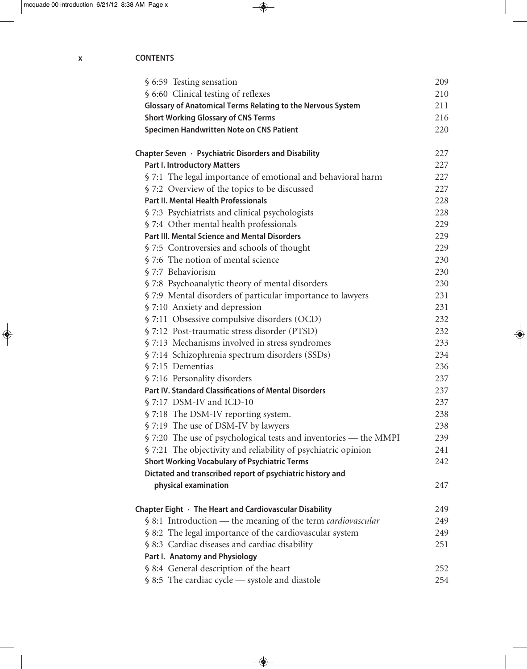| § 6:59 Testing sensation                                           | 209 |
|--------------------------------------------------------------------|-----|
| § 6:60 Clinical testing of reflexes                                | 210 |
| <b>Glossary of Anatomical Terms Relating to the Nervous System</b> | 211 |
| <b>Short Working Glossary of CNS Terms</b>                         | 216 |
| Specimen Handwritten Note on CNS Patient                           | 220 |
|                                                                    |     |
| Chapter Seven · Psychiatric Disorders and Disability               | 227 |
| <b>Part I. Introductory Matters</b>                                | 227 |
| § 7:1 The legal importance of emotional and behavioral harm        | 227 |
| § 7:2 Overview of the topics to be discussed                       | 227 |
| <b>Part II. Mental Health Professionals</b>                        | 228 |
| § 7:3 Psychiatrists and clinical psychologists                     | 228 |
| § 7:4 Other mental health professionals                            | 229 |
| <b>Part III. Mental Science and Mental Disorders</b>               | 229 |
| § 7:5 Controversies and schools of thought                         | 229 |
| § 7:6 The notion of mental science                                 | 230 |
| § 7:7 Behaviorism                                                  | 230 |
| § 7:8 Psychoanalytic theory of mental disorders                    | 230 |
| § 7:9 Mental disorders of particular importance to lawyers         | 231 |
| § 7:10 Anxiety and depression                                      | 231 |
| § 7:11 Obsessive compulsive disorders (OCD)                        | 232 |
| § 7:12 Post-traumatic stress disorder (PTSD)                       | 232 |
| § 7:13 Mechanisms involved in stress syndromes                     | 233 |
| § 7:14 Schizophrenia spectrum disorders (SSDs)                     | 234 |
| § 7:15 Dementias                                                   | 236 |
| § 7:16 Personality disorders                                       | 237 |
| <b>Part IV. Standard Classifications of Mental Disorders</b>       | 237 |
| § 7:17 DSM-IV and ICD-10                                           | 237 |
| § 7:18 The DSM-IV reporting system.                                | 238 |
| § 7:19 The use of DSM-IV by lawyers                                | 238 |
| § 7:20 The use of psychological tests and inventories — the MMPI   | 239 |
| § 7:21 The objectivity and reliability of psychiatric opinion      | 241 |
| <b>Short Working Vocabulary of Psychiatric Terms</b>               | 242 |
| Dictated and transcribed report of psychiatric history and         |     |
| physical examination                                               | 247 |
|                                                                    |     |
| Chapter Eight · The Heart and Cardiovascular Disability            | 249 |
| § 8:1 Introduction — the meaning of the term <i>cardiovascular</i> | 249 |
| § 8:2 The legal importance of the cardiovascular system            | 249 |
| § 8:3 Cardiac diseases and cardiac disability                      | 251 |
| Part I. Anatomy and Physiology                                     |     |
| § 8:4 General description of the heart                             | 252 |
| § 8:5 The cardiac cycle - systole and diastole                     | 254 |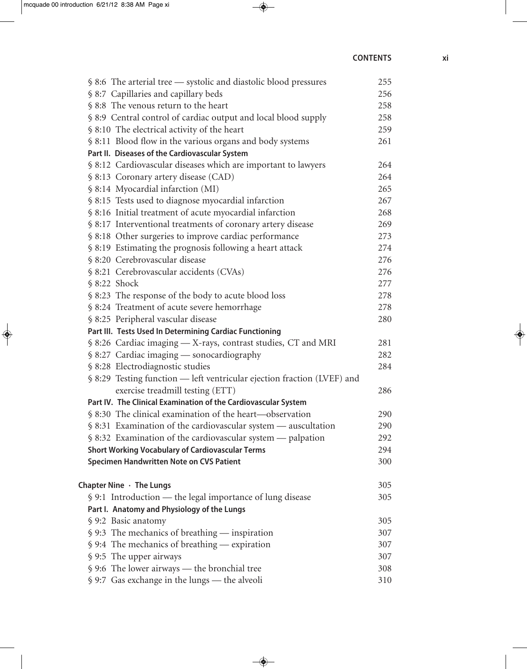| § 8:6 The arterial tree — systolic and diastolic blood pressures           | 255 |
|----------------------------------------------------------------------------|-----|
| § 8:7 Capillaries and capillary beds                                       | 256 |
| § 8:8 The venous return to the heart                                       | 258 |
| § 8:9 Central control of cardiac output and local blood supply             | 258 |
| § 8:10 The electrical activity of the heart                                | 259 |
| § 8:11 Blood flow in the various organs and body systems                   | 261 |
| Part II. Diseases of the Cardiovascular System                             |     |
| § 8:12 Cardiovascular diseases which are important to lawyers              | 264 |
| § 8:13 Coronary artery disease (CAD)                                       | 264 |
| § 8:14 Myocardial infarction (MI)                                          | 265 |
| § 8:15 Tests used to diagnose myocardial infarction                        | 267 |
| § 8:16 Initial treatment of acute myocardial infarction                    | 268 |
| § 8:17 Interventional treatments of coronary artery disease                | 269 |
| § 8:18 Other surgeries to improve cardiac performance                      | 273 |
| § 8:19 Estimating the prognosis following a heart attack                   | 274 |
| § 8:20 Cerebrovascular disease                                             | 276 |
| § 8:21 Cerebrovascular accidents (CVAs)                                    | 276 |
| § 8:22 Shock                                                               | 277 |
| § 8:23 The response of the body to acute blood loss                        | 278 |
| § 8:24 Treatment of acute severe hemorrhage                                | 278 |
| § 8:25 Peripheral vascular disease                                         | 280 |
| Part III. Tests Used In Determining Cardiac Functioning                    |     |
| § 8:26 Cardiac imaging - X-rays, contrast studies, CT and MRI              | 281 |
| $$8:27$ Cardiac imaging — sonocardiography                                 | 282 |
| § 8:28 Electrodiagnostic studies                                           | 284 |
| § 8:29 Testing function - left ventricular ejection fraction (LVEF) and    |     |
| exercise treadmill testing (ETT)                                           | 286 |
| Part IV. The Clinical Examination of the Cardiovascular System             |     |
| § 8:30 The clinical examination of the heart—observation                   | 290 |
| $\frac{1}{2}$ 8:31 Examination of the cardiovascular system — auscultation | 290 |
| § 8:32 Examination of the cardiovascular system — palpation                | 292 |
| <b>Short Working Vocabulary of Cardiovascular Terms</b>                    | 294 |
| Specimen Handwritten Note on CVS Patient                                   | 300 |
| Chapter Nine $\cdot$ The Lungs                                             | 305 |
| § 9:1 Introduction — the legal importance of lung disease                  | 305 |
| Part I. Anatomy and Physiology of the Lungs                                |     |
| § 9:2 Basic anatomy                                                        | 305 |
| $$9:3$ The mechanics of breathing — inspiration                            | 307 |
| $\frac{1}{2}$ 9:4 The mechanics of breathing — expiration                  | 307 |
| § 9:5 The upper airways                                                    | 307 |
| § 9:6 The lower airways — the bronchial tree                               | 308 |
| § 9:7 Gas exchange in the lungs - the alveoli                              | 310 |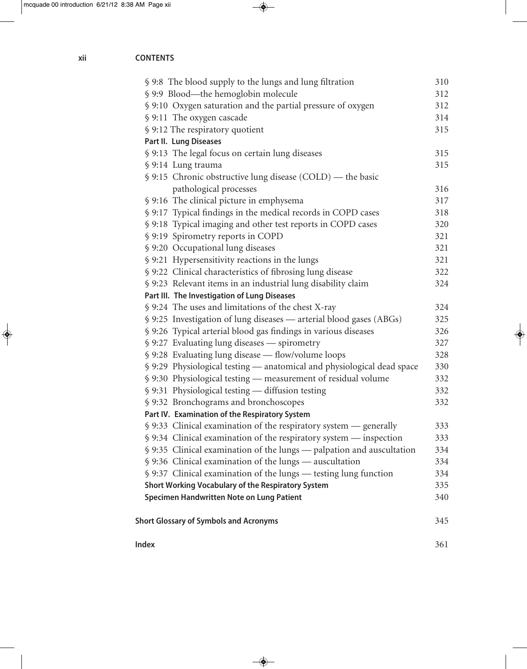| Л.<br>г в<br>N<br>г |  |
|---------------------|--|
|---------------------|--|

| § 9:8 The blood supply to the lungs and lung filtration                        | 310 |
|--------------------------------------------------------------------------------|-----|
| § 9:9 Blood—the hemoglobin molecule                                            | 312 |
| § 9:10 Oxygen saturation and the partial pressure of oxygen                    | 312 |
| § 9:11 The oxygen cascade                                                      | 314 |
| § 9:12 The respiratory quotient                                                | 315 |
| Part II. Lung Diseases                                                         |     |
| § 9:13 The legal focus on certain lung diseases                                | 315 |
| § 9:14 Lung trauma                                                             | 315 |
| § 9:15 Chronic obstructive lung disease (COLD) — the basic                     |     |
| pathological processes                                                         | 316 |
| § 9:16 The clinical picture in emphysema                                       | 317 |
| § 9:17 Typical findings in the medical records in COPD cases                   | 318 |
| § 9:18 Typical imaging and other test reports in COPD cases                    | 320 |
| § 9:19 Spirometry reports in COPD                                              | 321 |
| § 9:20 Occupational lung diseases                                              | 321 |
| § 9:21 Hypersensitivity reactions in the lungs                                 | 321 |
| § 9:22 Clinical characteristics of fibrosing lung disease                      | 322 |
| § 9:23 Relevant items in an industrial lung disability claim                   | 324 |
| Part III. The Investigation of Lung Diseases                                   |     |
| § 9:24 The uses and limitations of the chest X-ray                             | 324 |
| § 9:25 Investigation of lung diseases — arterial blood gases (ABGs)            | 325 |
| § 9:26 Typical arterial blood gas findings in various diseases                 | 326 |
| § 9:27 Evaluating lung diseases — spirometry                                   | 327 |
| § 9:28 Evaluating lung disease - flow/volume loops                             | 328 |
| § 9:29 Physiological testing — anatomical and physiological dead space         | 330 |
| § 9:30 Physiological testing — measurement of residual volume                  | 332 |
| § 9:31 Physiological testing - diffusion testing                               | 332 |
| § 9:32 Bronchograms and bronchoscopes                                          | 332 |
| Part IV. Examination of the Respiratory System                                 |     |
| $\frac{1}{2}$ 9:33 Clinical examination of the respiratory system — generally  | 333 |
| $\frac{1}{2}$ 9:34 Clinical examination of the respiratory system — inspection | 333 |
| § 9:35 Clinical examination of the lungs — palpation and auscultation          | 334 |
| § 9:36 Clinical examination of the lungs — auscultation                        | 334 |
| § 9:37 Clinical examination of the lungs — testing lung function               | 334 |
| Short Working Vocabulary of the Respiratory System                             | 335 |
| Specimen Handwritten Note on Lung Patient                                      | 340 |
| <b>Short Glossary of Symbols and Acronyms</b>                                  | 345 |
| Index                                                                          | 361 |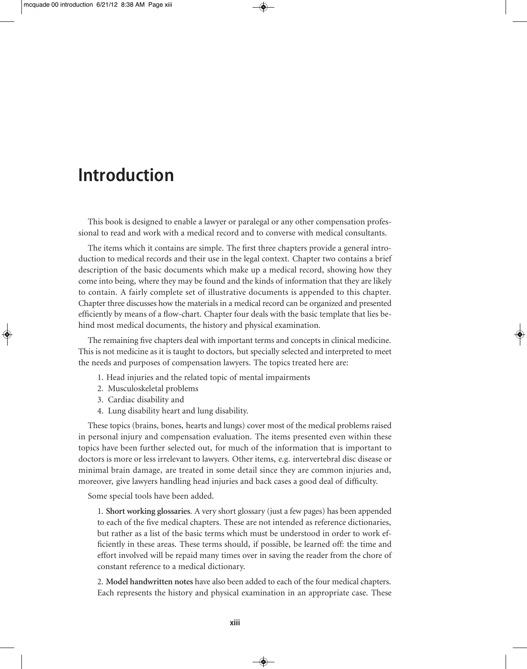### **Introduction**

This book is designed to enable a lawyer or paralegal or any other compensation professional to read and work with a medical record and to converse with medical consultants.

The items which it contains are simple. The first three chapters provide a general introduction to medical records and their use in the legal context. Chapter two contains a brief description of the basic documents which make up a medical record, showing how they come into being, where they may be found and the kinds of information that they are likely to contain. A fairly complete set of illustrative documents is appended to this chapter. Chapter three discusses how the materials in a medical record can be organized and presented efficiently by means of a flow-chart. Chapter four deals with the basic template that lies behind most medical documents, the history and physical examination.

The remaining five chapters deal with important terms and concepts in clinical medicine. This is not medicine as it is taught to doctors, but specially selected and interpreted to meet the needs and purposes of compensation lawyers. The topics treated here are:

- 1. Head injuries and the related topic of mental impairments
- 2. Musculoskeletal problems
- 3. Cardiac disability and
- 4. Lung disability heart and lung disability.

These topics (brains, bones, hearts and lungs) cover most of the medical problems raised in personal injury and compensation evaluation. The items presented even within these topics have been further selected out, for much of the information that is important to doctors is more or less irrelevant to lawyers. Other items, e.g. intervertebral disc disease or minimal brain damage, are treated in some detail since they are common injuries and, moreover, give lawyers handling head injuries and back cases a good deal of difficulty.

Some special tools have been added.

1. **Short working glossaries**. A very short glossary (just a few pages) has been appended to each of the five medical chapters. These are not intended as reference dictionaries, but rather as a list of the basic terms which must be understood in order to work efficiently in these areas. These terms should, if possible, be learned off: the time and effort involved will be repaid many times over in saving the reader from the chore of constant reference to a medical dictionary.

2. **Model handwritten notes** have also been added to each of the four medical chapters. Each represents the history and physical examination in an appropriate case. These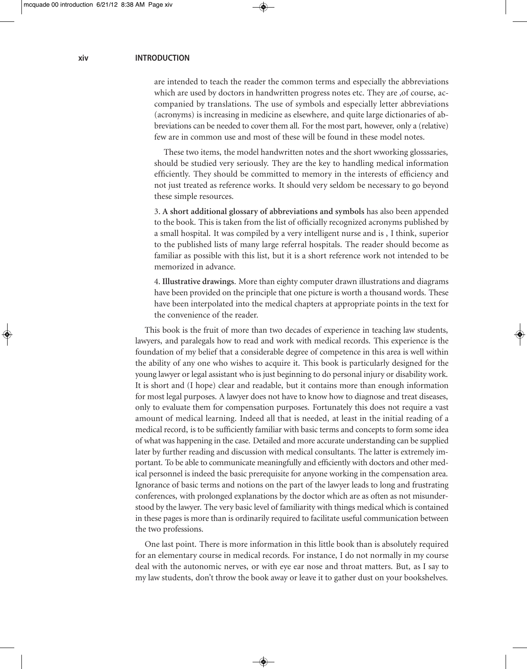are intended to teach the reader the common terms and especially the abbreviations which are used by doctors in handwritten progress notes etc. They are ,of course, accompanied by translations. The use of symbols and especially letter abbreviations (acronyms) is increasing in medicine as elsewhere, and quite large dictionaries of abbreviations can be needed to cover them all. For the most part, however, only a (relative) few are in common use and most of these will be found in these model notes.

 These two items, the model handwritten notes and the short wworking glosssaries, should be studied very seriously. They are the key to handling medical information efficiently. They should be committed to memory in the interests of efficiency and not just treated as reference works. It should very seldom be necessary to go beyond these simple resources.

3. **A short additional glossary of abbreviations and symbols** has also been appended to the book. This is taken from the list of officially recognized acronyms published by a small hospital. It was compiled by a very intelligent nurse and is , I think, superior to the published lists of many large referral hospitals. The reader should become as familiar as possible with this list, but it is a short reference work not intended to be memorized in advance.

4. **Illustrative drawings**. More than eighty computer drawn illustrations and diagrams have been provided on the principle that one picture is worth a thousand words. These have been interpolated into the medical chapters at appropriate points in the text for the convenience of the reader.

This book is the fruit of more than two decades of experience in teaching law students, lawyers, and paralegals how to read and work with medical records. This experience is the foundation of my belief that a considerable degree of competence in this area is well within the ability of any one who wishes to acquire it. This book is particularly designed for the young lawyer or legal assistant who is just beginning to do personal injury or disability work. It is short and (I hope) clear and readable, but it contains more than enough information for most legal purposes. A lawyer does not have to know how to diagnose and treat diseases, only to evaluate them for compensation purposes. Fortunately this does not require a vast amount of medical learning. Indeed all that is needed, at least in the initial reading of a medical record, is to be sufficiently familiar with basic terms and concepts to form some idea of what was happening in the case. Detailed and more accurate understanding can be supplied later by further reading and discussion with medical consultants. The latter is extremely important. To be able to communicate meaningfully and efficiently with doctors and other medical personnel is indeed the basic prerequisite for anyone working in the compensation area. Ignorance of basic terms and notions on the part of the lawyer leads to long and frustrating conferences, with prolonged explanations by the doctor which are as often as not misunderstood by the lawyer. The very basic level of familiarity with things medical which is contained in these pages is more than is ordinarily required to facilitate useful communication between the two professions.

One last point. There is more information in this little book than is absolutely required for an elementary course in medical records. For instance, I do not normally in my course deal with the autonomic nerves, or with eye ear nose and throat matters. But, as I say to my law students, don't throw the book away or leave it to gather dust on your bookshelves.